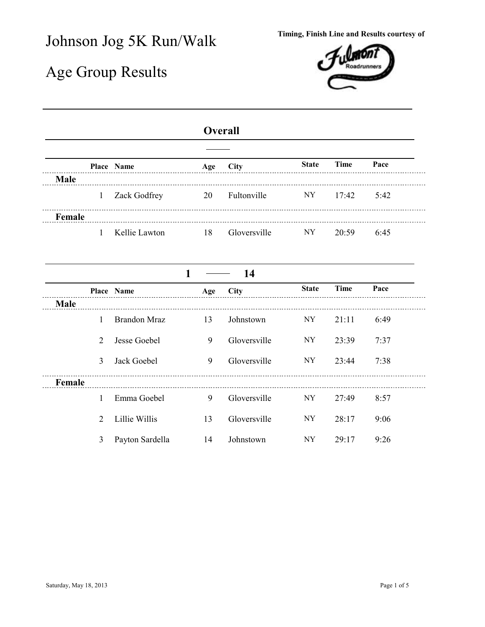## Johnson Jog 5K Run/Walk **Timing, Finish Line and Results courtesy of**

## Age Group Results



## **Overall**

|        | Place Name     | Age | <b>City</b>  | <b>State</b> | Time  | Pace |
|--------|----------------|-----|--------------|--------------|-------|------|
| Male   |                |     |              |              |       |      |
|        | 1 Zack Godfrey | 20  | Fultonville  | NY 11        | 17.42 | 5.42 |
| Female |                |     |              |              |       |      |
|        | Kellie Lawton  | 18  | Gloversville | NY           | 20:59 | 6:45 |

|             |   |                     | 1   | -14          |              |       |      |
|-------------|---|---------------------|-----|--------------|--------------|-------|------|
|             |   | Place Name          | Age | City         | <b>State</b> | Time  | Pace |
| <b>Male</b> |   |                     |     |              |              |       |      |
|             | 1 | <b>Brandon Mraz</b> | 13  | Johnstown    | NY           | 21:11 | 6:49 |
|             | 2 | Jesse Goebel        | 9   | Gloversville | NY           | 23:39 | 7:37 |
|             | 3 | Jack Goebel         | 9   | Gloversville | NY           | 23:44 | 7:38 |
| Female      |   |                     |     |              |              |       |      |
|             |   | Emma Goebel         | 9   | Gloversville | NY           | 27:49 | 8:57 |
|             | 2 | Lillie Willis       | 13  | Gloversville | NY           | 28:17 | 9:06 |
|             | 3 | Payton Sardella     | 14  | Johnstown    | NY           | 29:17 | 9:26 |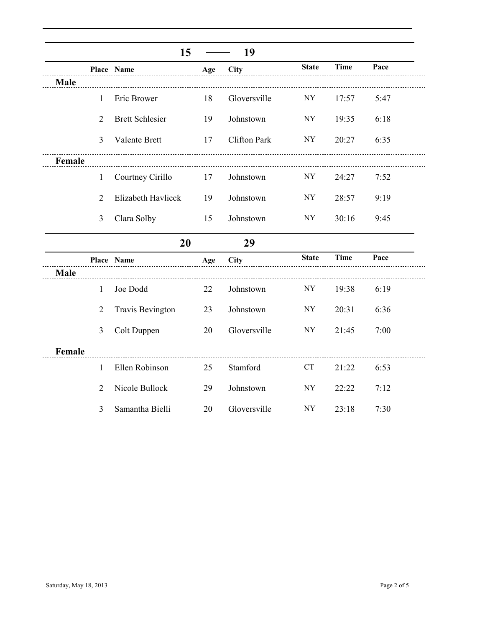|             |                | 15                      |     | 19           |              |             |      |
|-------------|----------------|-------------------------|-----|--------------|--------------|-------------|------|
|             |                | Place Name              | Age | <b>City</b>  | <b>State</b> | <b>Time</b> | Pace |
| <b>Male</b> |                |                         |     |              |              |             |      |
|             | 1              | Eric Brower             | 18  | Gloversville | <b>NY</b>    | 17:57       | 5:47 |
|             | $\overline{2}$ | <b>Brett Schlesier</b>  | 19  | Johnstown    | <b>NY</b>    | 19:35       | 6:18 |
|             | $\overline{3}$ | Valente Brett           | 17  | Clifton Park | <b>NY</b>    | 20:27       | 6:35 |
| Female      |                |                         |     |              |              |             |      |
|             | $\mathbf{1}$   | Courtney Cirillo        | 17  | Johnstown    | <b>NY</b>    | 24:27       | 7:52 |
|             | $\overline{2}$ | Elizabeth Havlicck      | 19  | Johnstown    | NY           | 28:57       | 9:19 |
|             | 3              | Clara Solby             | 15  | Johnstown    | NY           | 30:16       | 9:45 |
|             |                | 20                      |     | 29           |              |             |      |
|             |                | Place Name              | Age | City         | <b>State</b> | <b>Time</b> | Pace |
| Male        |                |                         |     |              |              |             |      |
|             | 1              | Joe Dodd                | 22  | Johnstown    | <b>NY</b>    | 19:38       | 6:19 |
|             | $\overline{2}$ | <b>Travis Bevington</b> | 23  | Johnstown    | <b>NY</b>    | 20:31       | 6:36 |
|             | 3              | Colt Duppen             | 20  | Gloversville | NY           | 21:45       | 7:00 |
| Female      |                |                         |     |              |              |             |      |
|             | 1              | Ellen Robinson          | 25  | Stamford     | <b>CT</b>    | 21:22       | 6:53 |
|             | $\overline{2}$ | Nicole Bullock          | 29  | Johnstown    | NY           | 22:22       | 7:12 |
|             | 3              | Samantha Bielli         | 20  | Gloversville | <b>NY</b>    | 23:18       | 7:30 |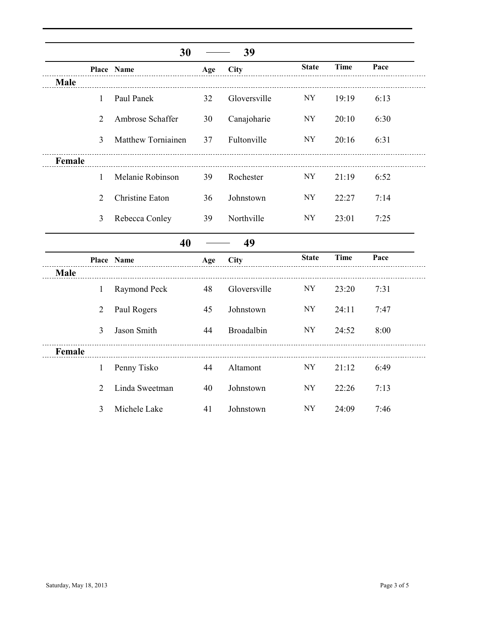|        |                | 30                 |          | 39           |              |             |      |
|--------|----------------|--------------------|----------|--------------|--------------|-------------|------|
|        |                | Place Name         | Age      | <b>City</b>  | <b>State</b> | <b>Time</b> | Pace |
| Male   |                |                    |          |              |              |             |      |
|        | 1              | Paul Panek         | 32       | Gloversville | NY           | 19:19       | 6:13 |
|        | $\overline{2}$ | Ambrose Schaffer   | 30       | Canajoharie  | NY           | 20:10       | 6:30 |
|        | $\overline{3}$ | Matthew Torniainen | 37       | Fultonville  | <b>NY</b>    | 20:16       | 6:31 |
| Female |                |                    |          |              |              |             |      |
|        | 1              | Melanie Robinson   | 39       | Rochester    | <b>NY</b>    | 21:19       | 6:52 |
|        | $\overline{2}$ | Christine Eaton    | 36       | Johnstown    | NY           | 22:27       | 7:14 |
|        | 3              | Rebecca Conley     | 39       | Northville   | NY           | 23:01       | 7:25 |
|        |                | 40                 |          | 49           |              |             |      |
|        |                | Place Name         | Age      | City         | <b>State</b> | <b>Time</b> | Pace |
| Male   |                |                    |          |              |              |             |      |
|        | $\mathbf{1}$   | Raymond Peck       | 48       | Gloversville | NY           | 23:20       | 7:31 |
|        | $\overline{2}$ | Paul Rogers        | 45       | Johnstown    | NY           | 24:11       | 7:47 |
|        | 3              | Jason Smith        | 44       | Broadalbin   | NY           | 24:52       | 8:00 |
| Female |                |                    | <u>.</u> |              |              |             |      |
|        | $\mathbf{1}$   | Penny Tisko        | 44       | Altamont     | NY           | 21:12       | 6:49 |
|        | $\overline{2}$ | Linda Sweetman     | 40       | Johnstown    | NY           | 22:26       | 7:13 |
|        | 3              | Michele Lake       | 41       | Johnstown    | <b>NY</b>    | 24:09       | 7:46 |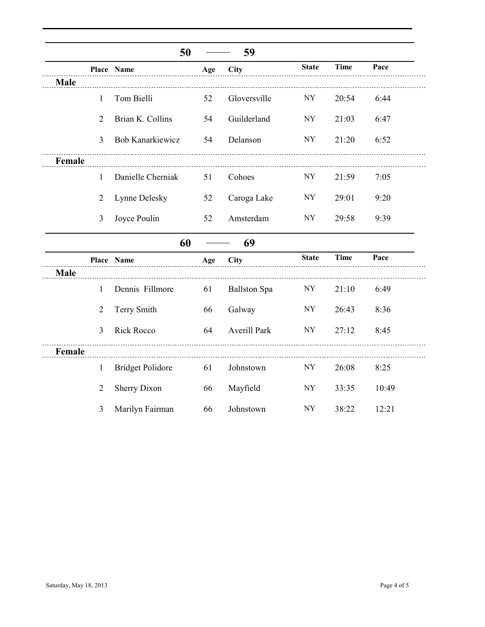|        |                | 50                      |     | 59                  |              |             |       |
|--------|----------------|-------------------------|-----|---------------------|--------------|-------------|-------|
|        |                | Place Name              | Age | <b>City</b>         | <b>State</b> | <b>Time</b> | Pace  |
| Male   |                |                         |     |                     |              |             |       |
|        | 1              | Tom Bielli              | 52  | Gloversville        | <b>NY</b>    | 20:54       | 6:44  |
|        | $\overline{2}$ | Brian K. Collins        | 54  | Guilderland         | <b>NY</b>    | 21:03       | 6:47  |
|        | $\overline{3}$ | <b>Bob Kanarkiewicz</b> | 54  | Delanson            | <b>NY</b>    | 21:20       | 6:52  |
| Female |                |                         |     |                     |              |             |       |
|        | 1              | Danielle Cherniak       | 51  | Cohoes              | <b>NY</b>    | 21:59       | 7:05  |
|        | $\overline{2}$ | Lynne Delesky           | 52  | Caroga Lake         | <b>NY</b>    | 29:01       | 9:20  |
|        | $\overline{3}$ | Joyce Poulin            | 52  | Amsterdam           | <b>NY</b>    | 29:58       | 9:39  |
|        |                | 60                      |     | 69                  |              |             |       |
|        |                | Place Name              | Age | <b>City</b>         | <b>State</b> | <b>Time</b> | Pace  |
| Male   |                |                         |     |                     |              |             |       |
|        | 1              | Dennis Fillmore         | 61  | <b>Ballston Spa</b> | NY           | 21:10       | 6:49  |
|        | $\overline{2}$ | Terry Smith             | 66  | Galway              | <b>NY</b>    | 26:43       | 8:36  |
|        | 3              | <b>Rick Rocco</b>       | 64  | <b>Averill Park</b> | <b>NY</b>    | 27:12       | 8:45  |
| Female |                |                         |     |                     |              |             |       |
|        | $\mathbf{1}$   | <b>Bridget Polidore</b> | 61  | Johnstown           | NY           | 26:08       | 8:25  |
|        | $\overline{2}$ | <b>Sherry Dixon</b>     | 66  | Mayfield            | NY           | 33:35       | 10:49 |
|        | 3              | Marilyn Fairman         | 66  | Johnstown           | ${\rm NY}$   | 38:22       | 12:21 |